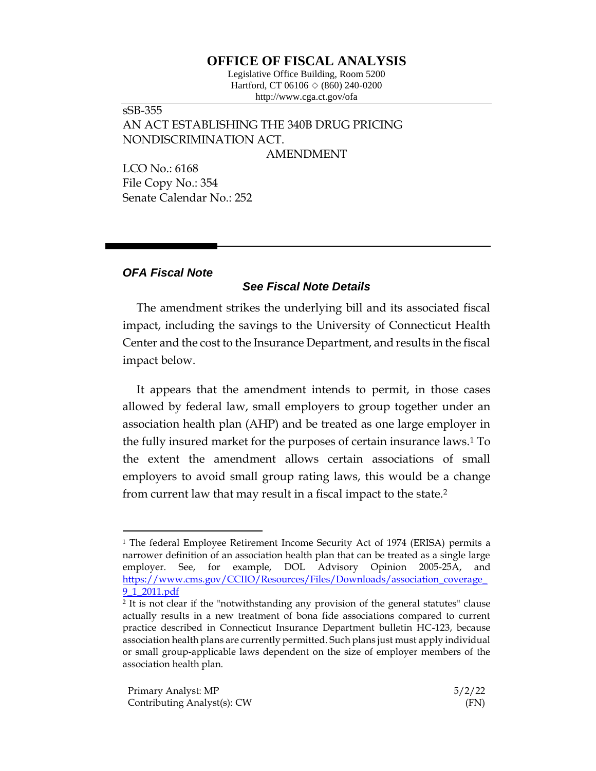## **OFFICE OF FISCAL ANALYSIS**

Legislative Office Building, Room 5200 Hartford, CT 06106  $\Diamond$  (860) 240-0200 http://www.cga.ct.gov/ofa

sSB-355 AN ACT ESTABLISHING THE 340B DRUG PRICING NONDISCRIMINATION ACT.

AMENDMENT

LCO No.: 6168 File Copy No.: 354 Senate Calendar No.: 252

## *OFA Fiscal Note*

## *See Fiscal Note Details*

The amendment strikes the underlying bill and its associated fiscal impact, including the savings to the University of Connecticut Health Center and the cost to the Insurance Department, and results in the fiscal impact below.

It appears that the amendment intends to permit, in those cases allowed by federal law, small employers to group together under an association health plan (AHP) and be treated as one large employer in the fully insured market for the purposes of certain insurance laws.<sup>1</sup> To the extent the amendment allows certain associations of small employers to avoid small group rating laws, this would be a change from current law that may result in a fiscal impact to the state.<sup>2</sup>

<sup>1</sup> The federal Employee Retirement Income Security Act of 1974 (ERISA) permits a narrower definition of an association health plan that can be treated as a single large employer. See, for example, DOL Advisory Opinion 2005-25A, and [https://www.cms.gov/CCIIO/Resources/Files/Downloads/association\\_coverage\\_](https://www.cms.gov/CCIIO/Resources/Files/Downloads/association_coverage_9_1_2011.pdf) [9\\_1\\_2011.pdf](https://www.cms.gov/CCIIO/Resources/Files/Downloads/association_coverage_9_1_2011.pdf)

<sup>2</sup> It is not clear if the "notwithstanding any provision of the general statutes" clause actually results in a new treatment of bona fide associations compared to current practice described in Connecticut Insurance Department bulletin HC-123, because association health plans are currently permitted. Such plans just must apply individual or small group-applicable laws dependent on the size of employer members of the association health plan.